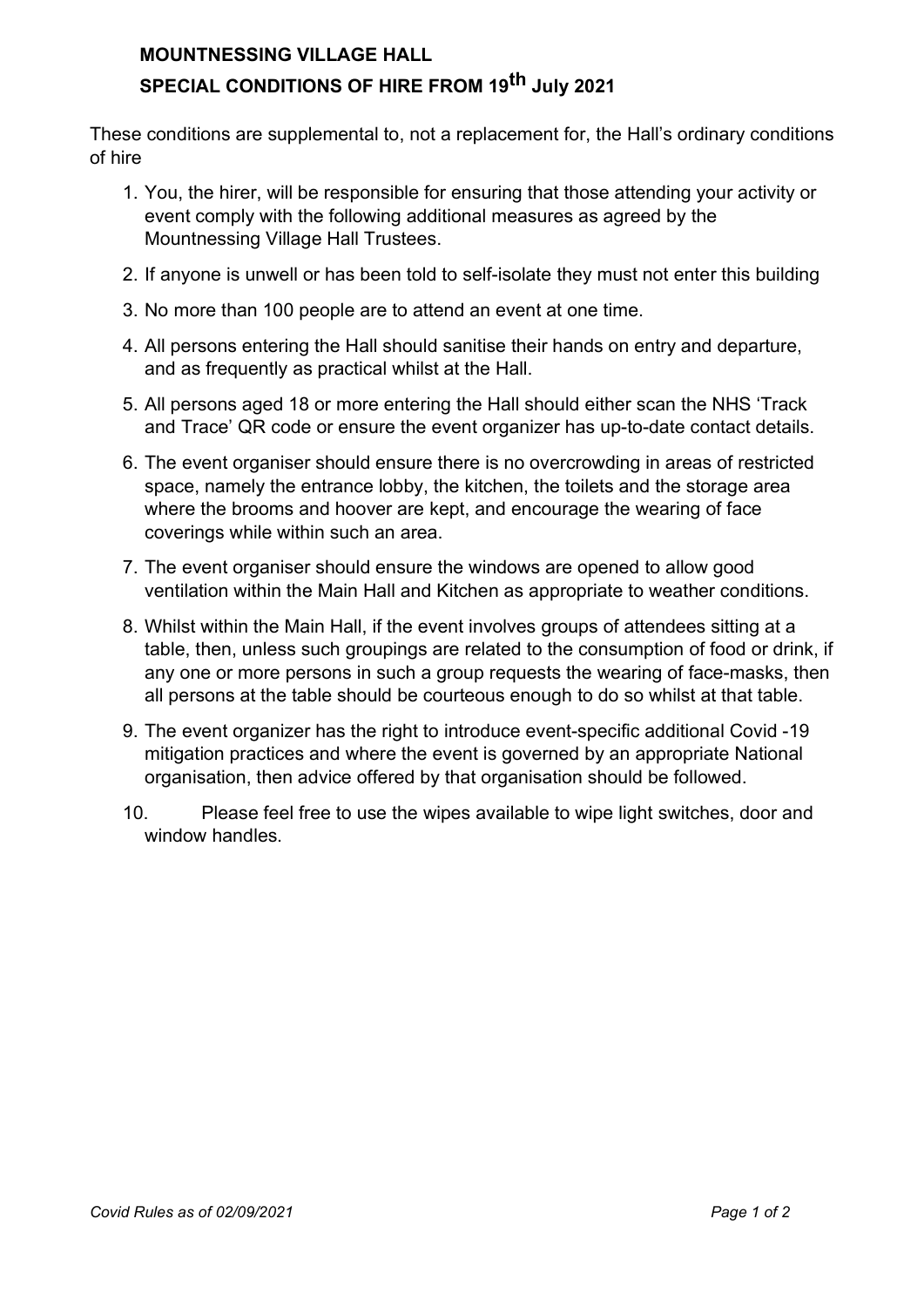## MOUNTNESSING VILLAGE HALL SPECIAL CONDITIONS OF HIRE FROM 19<sup>th</sup> July 2021

These conditions are supplemental to, not a replacement for, the Hall's ordinary conditions of hire

- 1. You, the hirer, will be responsible for ensuring that those attending your activity or event comply with the following additional measures as agreed by the Mountnessing Village Hall Trustees.
- 2. If anyone is unwell or has been told to self-isolate they must not enter this building
- 3. No more than 100 people are to attend an event at one time.
- 4. All persons entering the Hall should sanitise their hands on entry and departure, and as frequently as practical whilst at the Hall.
- 5. All persons aged 18 or more entering the Hall should either scan the NHS 'Track and Trace' QR code or ensure the event organizer has up-to-date contact details.
- 6. The event organiser should ensure there is no overcrowding in areas of restricted space, namely the entrance lobby, the kitchen, the toilets and the storage area where the brooms and hoover are kept, and encourage the wearing of face coverings while within such an area.
- 7. The event organiser should ensure the windows are opened to allow good ventilation within the Main Hall and Kitchen as appropriate to weather conditions.
- 8. Whilst within the Main Hall, if the event involves groups of attendees sitting at a table, then, unless such groupings are related to the consumption of food or drink, if any one or more persons in such a group requests the wearing of face-masks, then all persons at the table should be courteous enough to do so whilst at that table.
- 9. The event organizer has the right to introduce event-specific additional Covid -19 mitigation practices and where the event is governed by an appropriate National organisation, then advice offered by that organisation should be followed.
- 10. Please feel free to use the wipes available to wipe light switches, door and window handles.